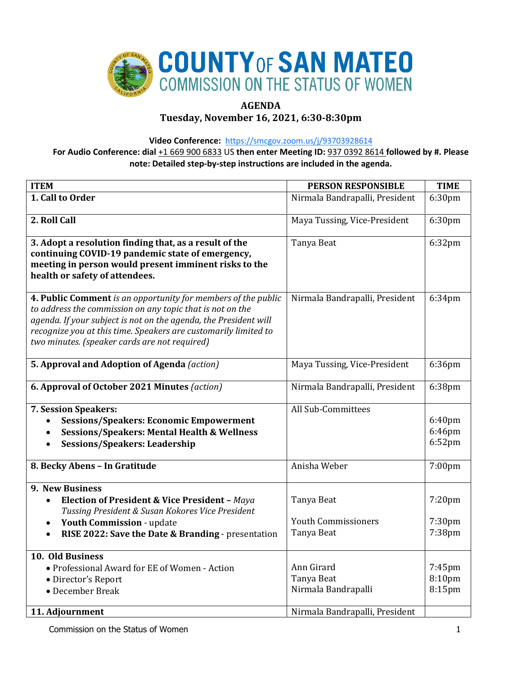

# **AGENDA**

**Tuesday, November 16, 2021, 6:30-8:30pm**

**Video Conference:** <https://smcgov.zoom.us/j/93703928614>

**For Audio Conference: dial** +1 669 900 6833 US **then enter Meeting ID:** 937 0392 8614 **followed by #. Please note: Detailed step-by-step instructions are included in the agenda.**

| <b>ITEM</b>                                                                                                                                                                                                                                                                                                        | <b>PERSON RESPONSIBLE</b>                                                         | <b>TIME</b>                   |
|--------------------------------------------------------------------------------------------------------------------------------------------------------------------------------------------------------------------------------------------------------------------------------------------------------------------|-----------------------------------------------------------------------------------|-------------------------------|
| 1. Call to Order                                                                                                                                                                                                                                                                                                   | Nirmala Bandrapalli, President                                                    | 6:30pm                        |
| 2. Roll Call                                                                                                                                                                                                                                                                                                       | Maya Tussing, Vice-President                                                      | 6:30pm                        |
| 3. Adopt a resolution finding that, as a result of the<br>continuing COVID-19 pandemic state of emergency,<br>meeting in person would present imminent risks to the<br>health or safety of attendees.                                                                                                              | Tanya Beat                                                                        | 6:32pm                        |
| 4. Public Comment is an opportunity for members of the public<br>to address the commission on any topic that is not on the<br>agenda. If your subject is not on the agenda, the President will<br>recognize you at this time. Speakers are customarily limited to<br>two minutes. (speaker cards are not required) | Nirmala Bandrapalli, President                                                    | 6:34pm                        |
| 5. Approval and Adoption of Agenda (action)                                                                                                                                                                                                                                                                        | Maya Tussing, Vice-President                                                      | 6:36pm                        |
| 6. Approval of October 2021 Minutes (action)                                                                                                                                                                                                                                                                       | Nirmala Bandrapalli, President                                                    | 6:38pm                        |
| 7. Session Speakers:<br><b>Sessions/Speakers: Economic Empowerment</b><br><b>Sessions/Speakers: Mental Health &amp; Wellness</b><br><b>Sessions/Speakers: Leadership</b>                                                                                                                                           | All Sub-Committees                                                                | 6:40pm<br>6:46pm<br>$6:52$ pm |
| 8. Becky Abens - In Gratitude                                                                                                                                                                                                                                                                                      | Anisha Weber                                                                      | 7:00pm                        |
| 9. New Business<br><b>Election of President &amp; Vice President - Maya</b><br>Tussing President & Susan Kokores Vice President<br>Youth Commission - update<br>$\bullet$<br>RISE 2022: Save the Date & Branding - presentation                                                                                    | Tanya Beat<br><b>Youth Commissioners</b><br>Tanya Beat                            | 7:20pm<br>7:30pm<br>7:38pm    |
| 10. Old Business<br>• Professional Award for EE of Women - Action<br>• Director's Report<br>• December Break<br>11. Adjournment                                                                                                                                                                                    | Ann Girard<br>Tanya Beat<br>Nirmala Bandrapalli<br>Nirmala Bandrapalli, President | 7:45pm<br>8:10pm<br>8:15pm    |

Commission on the Status of Women 1 and 1 and 2 and 2 and 2 and 2 and 2 and 2 and 2 and 2 and 2 and 2 and 2 and 2 and 2 and 2 and 2 and 2 and 2 and 2 and 2 and 2 and 2 and 2 and 2 and 2 and 2 and 2 and 2 and 2 and 2 and 2